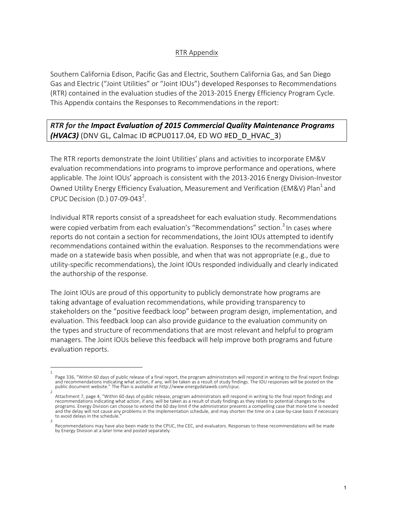## RTR Appendix

Southern California Edison, Pacific Gas and Electric, Southern California Gas, and San Diego Gas and Electric ("Joint Utilities" or "Joint IOUs") developed Responses to Recommendations (RTR) contained in the evaluation studies of the 2013-2015 Energy Efficiency Program Cycle. This Appendix contains the Responses to Recommendations in the report:

**RTR** for the Impact Evaluation of 2015 Commercial Quality Maintenance Programs **(HVAC3)** (DNV GL, Calmac ID #CPU0117.04, ED WO #ED\_D\_HVAC\_3)

The RTR reports demonstrate the Joint Utilities' plans and activities to incorporate EM&V evaluation recommendations into programs to improve performance and operations, where applicable. The Joint IOUs' approach is consistent with the 2013-2016 Energy Division-Investor Owned Utility Energy Efficiency Evaluation, Measurement and Verification (EM&V) Plan<sup>1</sup> and CPUC Decision (D.) 07-09-043<sup>2</sup>.

Individual RTR reports consist of a spreadsheet for each evaluation study. Recommendations were copied verbatim from each evaluation's "Recommendations" section.<sup>3</sup> In cases where reports do not contain a section for recommendations, the Joint IOUs attempted to identify recommendations contained within the evaluation. Responses to the recommendations were made on a statewide basis when possible, and when that was not appropriate  $(e.g.,$  due to utility-specific recommendations), the Joint IOUs responded individually and clearly indicated the authorship of the response.

The Joint IOUs are proud of this opportunity to publicly demonstrate how programs are taking advantage of evaluation recommendations, while providing transparency to stakeholders on the "positive feedback loop" between program design, implementation, and evaluation. This feedback loop can also provide guidance to the evaluation community on the types and structure of recommendations that are most relevant and helpful to program managers. The Joint IOUs believe this feedback will help improve both programs and future evaluation reports.

<sup>1</sup>  Page 336, "Within 60 days of public release of a final report, the program administrators will respond in writing to the final report findings and recommendations indicating what action, if any, will be taken as a result of study findings. The IOU responses will be posted on the public document website." The Plan is available at http://www.energydataweb.com/cpuc.

<sup>2</sup>  Attachment 7, page 4, "Within 60 days of public release, program administrators will respond in writing to the final report findings and recommendations indicating what action, if any, will be taken as a result of study findings as they relate to potential changes to the programs. Energy Division can choose to extend the 60 day limit if the administrator presents a compelling case that more time is needed and the delay will not cause any problems in the implementation schedule, and may shorten the time on a case-by-case basis if necessary to avoid delays in the schedule. 3 

Recommendations may have also been made to the CPUC, the CEC, and evaluators. Responses to these recommendations will be made by Energy Division at a later time and posted separately.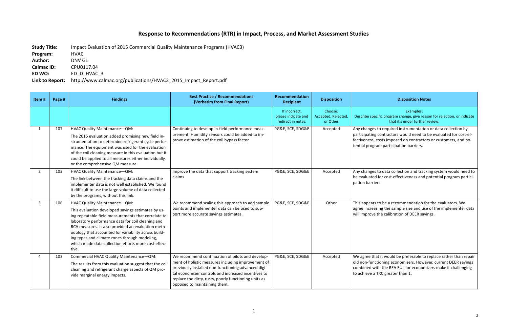## **Response to Recommendations (RTR) in Impact, Process, and Market Assessment Studies**

**Study Title:** Impact Evaluation of 2015 Commercial Quality Maintenance Programs (HVAC3) **Program:**  HVAC Author: **DNV GL Calmac ID:** CPU0117.04 **ED WO:** ED D HVAC 3

Link to Report: http://www.calmac.org/publications/HVAC3\_2015\_Impact\_Report.pdf

## **Disposition Notes**

Examples: ecific program change, give reason for rejection, or indicate that it's under further review.

es to required instrumentation or data collection by g contractors would need to be evaluated for cost-ef-, costs imposed on contractors or customers, and potram participation barriers.

es to data collection and tracking system would need to ed for cost-effectiveness and potential program particiriers.

Its to be a recommendation for the evaluators. We easing the sample size and use of the implementer data ve the calibration of DEER savings.

hat it would be preferable to replace rather than repair nctioning economizers. However, current DEER savings with the REA EUL for economizers make it challenging a TRC greater than 1.

| Item#          | Page # | <b>Findings</b>                                                                                                                                                                                                                                                                                                                                                                                                               | <b>Best Practice / Recommendations</b><br>(Verbatim from Final Report)                                                                                                                                                                                                                                        | Recommendation<br><b>Recipient</b>                         | <b>Disposition</b>                         |                                                           |
|----------------|--------|-------------------------------------------------------------------------------------------------------------------------------------------------------------------------------------------------------------------------------------------------------------------------------------------------------------------------------------------------------------------------------------------------------------------------------|---------------------------------------------------------------------------------------------------------------------------------------------------------------------------------------------------------------------------------------------------------------------------------------------------------------|------------------------------------------------------------|--------------------------------------------|-----------------------------------------------------------|
|                |        |                                                                                                                                                                                                                                                                                                                                                                                                                               |                                                                                                                                                                                                                                                                                                               | If incorrect,<br>please indicate and<br>redirect in notes. | Choose:<br>Accepted, Rejected,<br>or Other | Describe sp                                               |
| $\mathbf{1}$   | 107    | HVAC Quality Maintenance-QM:<br>The 2015 evaluation added promising new field in-<br>strumentation to determine refrigerant cycle perfor-<br>mance. The equipment was used for the evaluation<br>of the coil cleaning measure in this evaluation but it<br>could be applied to all measures either individually,<br>or the comprehensive QM measure.                                                                          | Continuing to develop in-field performance meas-<br>urement. Humidity sensors could be added to im-<br>prove estimation of the coil bypass factor.                                                                                                                                                            | PG&E, SCE, SDG&E                                           | Accepted                                   | Any change<br>participatin<br>fectiveness<br>tential prog |
| $\overline{2}$ | 103    | HVAC Quality Maintenance-QM:<br>The link between the tracking data claims and the<br>implementer data is not well established. We found<br>it difficult to use the large volume of data collected<br>by the programs, without this link.                                                                                                                                                                                      | Improve the data that support tracking system<br>claims                                                                                                                                                                                                                                                       | PG&E, SCE, SDG&E                                           | Accepted                                   | Any change<br>be evaluate<br>pation barr                  |
| $\mathbf{3}$   | 106    | HVAC Quality Maintenance-QM:<br>This evaluation developed savings estimates by us-<br>ing repeatable field measurements that correlate to<br>laboratory performance data for coil cleaning and<br>RCA measures. It also provided an evaluation meth-<br>odology that accounted for variability across build-<br>ing types and climate zones through modeling,<br>which made data collection efforts more cost-effec-<br>tive. | We recommend scaling this approach to add sample<br>points and implementer data can be used to sup-<br>port more accurate savings estimates.                                                                                                                                                                  | PG&E, SCE, SDG&E                                           | Other                                      | This appear<br>agree incre<br>will improv                 |
| 4              | 103    | Commercial HVAC Quality Maintenance-QM:<br>The results from this evaluation suggest that the coil<br>cleaning and refrigerant charge aspects of QM pro-<br>vide marginal energy impacts.                                                                                                                                                                                                                                      | We recommend continuation of pilots and develop-<br>ment of holistic measures including improvement of<br>previously installed non-functioning advanced digi-<br>tal economizer controls and increased incentives to<br>replace the dirty, rusty, poorly functioning units as<br>opposed to maintaining them. | PG&E, SCE, SDG&E                                           | Accepted                                   | We agree t<br>old non-fur<br>combined \<br>to achieve     |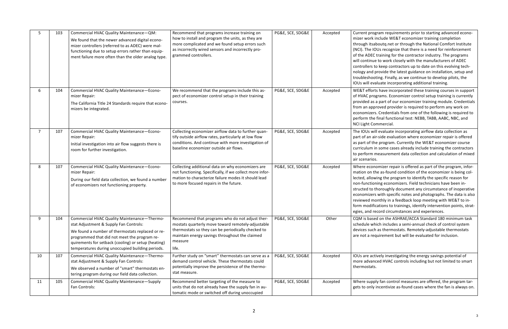ogram requirements prior to starting advanced econoinclude WE&T economizer training completion saboutq.net or through the National Comfort Institute IOUs recognize that there is a need for reinforcement C training for the contractor industry. The programs ue to work closely with the manufacturers of ADEC to keep contractors up to date on this evolving techprovide the latest guidance on installation, setup and ooting. Finally, as we continue to develop pilots, the valuate incorporating additional training.

rts have incorporated these training courses in support rograms. Economizer control setup training is currently is a part of our economizer training module. Credentials pproved provider is required to perform any work on ers. Credentials from one of the following is required to e final functional test: NEBB, TABB, AABC, NBC, and Commercial.

vill evaluate incorporating airflow data collection as air-side evaluation where economizer repair is offered the program. Currently the WE&T economizer course in some cases already include training the contractors measurement data collection and calculation of mixed os.

nomizer repair is offered as part of the program, inforthe as-found condition of the economizer is being colwing the program to identify the specific reason for oning economizers. Field technicians have been inthoroughly document any circumstance of inoperative ers with specific notes and photographs. The data is also nonthly in a feedback loop meeting with WE&T to infications to trainings, identify intervention points, stratrecord circumstances and experiences.

sed on the ASHRAE/ACCA Standard 180 minimum task vhich includes a semi-annual check of control system ch as thermostats. Remotely-adjustable thermostats equirement but will be evaluated for inclusion.

ctively investigating the energy savings potential of nced HVAC controls including but not limited to smart ts.

pply fan control measures are offered, the program tarly incentivize as-found cases where the fan is always on.

| 5              | 103 | Commercial HVAC Quality Maintenance-QM:<br>We found that the newer advanced digital econo-<br>mizer controllers (referred to as ADEC) were mal-<br>functioning due to setup errors rather than equip-<br>ment failure more often than the older analog type.                                         | Recommend that programs increase training on<br>how to install and program the units, as they are<br>more complicated and we found setup errors such<br>as incorrectly wired sensors and incorrectly pro-<br>grammed controllers. | PG&E, SCE, SDG&E | Accepted | Current pro<br>mizer work<br>through its<br>(NCI). The I<br>of the ADE<br>will continu<br>controllers<br>nology and<br>troublesho<br>IOUs will ev |
|----------------|-----|------------------------------------------------------------------------------------------------------------------------------------------------------------------------------------------------------------------------------------------------------------------------------------------------------|-----------------------------------------------------------------------------------------------------------------------------------------------------------------------------------------------------------------------------------|------------------|----------|---------------------------------------------------------------------------------------------------------------------------------------------------|
| 6              | 104 | Commercial HVAC Quality Maintenance-Econo-<br>mizer Repair:<br>The California Title 24 Standards require that econo-<br>mizers be integrated.                                                                                                                                                        | We recommend that the programs include this as-<br>pect of economizer control setup in their training<br>courses.                                                                                                                 | PG&E, SCE, SDG&E | Accepted | WE&T effo<br>of HVAC pr<br>provided as<br>from an ap<br>economize<br>perform th<br><b>NCI Light C</b>                                             |
| $\overline{7}$ | 107 | Commercial HVAC Quality Maintenance-Econo-<br>mizer Repair:<br>Initial investigation into air flow suggests there is<br>room for further investigation.                                                                                                                                              | Collecting economizer airflow data to further quan-<br>tify outside airflow rates, particularly at low flow<br>conditions. And continue with more investigation of<br>baseline economizer outside air flows.                      | PG&E, SCE, SDG&E | Accepted | The IOUs w<br>part of an a<br>as part of t<br>curriculum<br>to perform<br>air scenario                                                            |
| 8              | 107 | Commercial HVAC Quality Maintenance-Econo-<br>mizer Repair:<br>During our field data collection, we found a number<br>of economizers not functioning property.                                                                                                                                       | Collecting additional data on why economizers are<br>not functioning. Specifically, if we collect more infor-<br>mation to characterize failure modes it should lead<br>to more focused repairs in the future.                    | PG&E, SCE, SDG&E | Accepted | Where eco<br>mation on<br>lected, allo<br>non-functio<br>structed to<br>economize<br>reviewed n<br>form modif<br>egies, and I                     |
| 9              | 104 | Commercial HVAC Quality Maintenance-Thermo-<br>stat Adjustment & Supply Fan Controls:<br>We found a number of thermostats replaced or re-<br>programmed that did not meet the program re-<br>quirements for setback (cooling) or setup (heating)<br>temperatures during unoccupied building periods. | Recommend that programs who do not adjust ther-<br>mostats quarterly move toward remotely-adjustable<br>thermostats so they can be periodically checked to<br>maintain energy savings throughout the claimed<br>measure<br>life.  | PG&E, SCE, SDG&E | Other    | CQM is bas<br>schedule w<br>devices suc<br>are not a re                                                                                           |
| 10             | 107 | Commercial HVAC Quality Maintenance-Thermo-<br>stat Adjustment & Supply Fan Controls:<br>We observed a number of "smart" thermostats en-<br>tering program during our field data collection.                                                                                                         | Further study on "smart" thermostats can serve as a<br>demand control vehicle. These thermostats could<br>potentially improve the persistence of the thermo-<br>stat measure.                                                     | PG&E, SCE, SDG&E | Accepted | IOUs are ad<br>more advar<br>thermostat                                                                                                           |
| 11             | 105 | Commercial HVAC Quality Maintenance-Supply<br>Fan Controls:                                                                                                                                                                                                                                          | Recommend better targeting of the measure to<br>units that do not already have the supply fan in au-<br>tomatic mode or switched off during unoccupied                                                                            | PG&E, SCE, SDG&E | Accepted | Where sup<br>gets to only                                                                                                                         |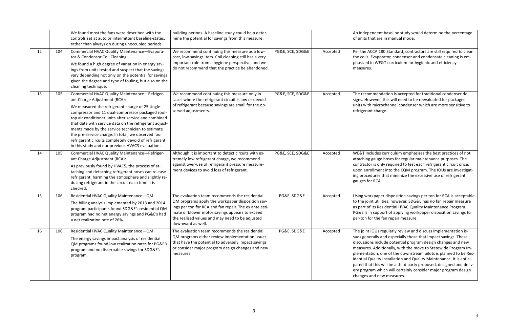Ident baseline study would determine the percentage at are in manual mode.

CA 180 Standard, contractors are still required to clean tyaporator, condenser and condensate cleaning is em-WE&T curriculum for hygienic and efficiency

mendation is accepted for traditional condenser devever, this will need to be reevaluated for packaged microchannel condenser which are more sensitive to t charge.

udes curriculum emphasizes the best practices of not gauge hoses for regular maintenance purposes. The is only required to test each refrigerant circuit once, llment into the CQM program. The IOUs are investigatlures that minimize the excessive use of refrigerant RCA.

kpaper disposition savings per ton for RCA is acceptable  $t$  utilities, however, SDG&E has no fan repair measure its Residential HVAC Quality Maintenance Program. support of applying workpaper disposition savings to the fan repair measure.

OUs regularly review and discuss implementation isrally and especially those that impact savings. These include potential program design changes and new Additionally, with the move to Statewide Program Imion, one of the downstream pilots is planned to be Resality Installation and Quality Maintenance. It is anticithis will be a third party proposed, designed and delivm which will certainly consider major program design nd new measures.

|    |     | We found most the fans were described with the<br>controls set at auto or intermittent baseline-states,<br>rather than always on during unoccupied periods.                                                                                                                                                                                                                                                                                                                                                                    | building periods. A baseline study could help deter-<br>mine the potential for savings from this measure.                                                                                                                                                                              |                  |          | An indeper<br>of units tha                                                                                                      |
|----|-----|--------------------------------------------------------------------------------------------------------------------------------------------------------------------------------------------------------------------------------------------------------------------------------------------------------------------------------------------------------------------------------------------------------------------------------------------------------------------------------------------------------------------------------|----------------------------------------------------------------------------------------------------------------------------------------------------------------------------------------------------------------------------------------------------------------------------------------|------------------|----------|---------------------------------------------------------------------------------------------------------------------------------|
| 12 | 104 | Commercial HVAC Quality Maintenance-Evapora-<br>tor & Condensor Coil Cleaning:<br>We found a high degree of variation in energy sav-<br>ings from units tested and suspect that the savings<br>vary depending not only on the potential for savings<br>given the degree and type of fouling, but also on the<br>cleaning technique.                                                                                                                                                                                            | We recommend continuing this measure as a low-<br>cost, low-savings item. Coil cleaning still has a very<br>important role from a hygiene perspective, and we<br>do not recommend that the practice be abandoned.                                                                      | PG&E, SCE, SDG&E | Accepted | Per the AC<br>the coils. E<br>phasized in<br>measures.                                                                          |
| 13 | 105 | Commercial HVAC Quality Maintenance-Refriger-<br>ant Charge Adjustment (RCA):<br>We measured the refrigerant charge of 25 single-<br>compressor and 11 dual-compressor packaged roof-<br>top air conditioner units after service and combined<br>that data with service data on the refrigerant adjust-<br>ments made by the service technician to estimate<br>the pre-service charge. In total, we observed four<br>refrigerant circuits completely devoid of refrigerant<br>in this study and our previous HVAC3 evaluation. | We recommend continuing this measure only in<br>cases where the refrigerant circuit is low or devoid<br>of refrigerant because savings are small for the ob-<br>served adjustments.                                                                                                    | PG&E, SCE, SDG&E | Accepted | The recom<br>signs. How<br>units with i<br>refrigerant                                                                          |
| 14 | 105 | Commercial HVAC Quality Maintenance-Refriger-<br>ant Charge Adjustment (RCA):<br>As previously found by HVAC5, the process of at-<br>taching and detaching refrigerant hoses can release<br>refrigerant, harming the atmosphere and slightly re-<br>ducing refrigerant in the circuit each time it is<br>checked.                                                                                                                                                                                                              | Although it is important to detect circuits with ex-<br>tremely low refrigerant charge, we recommend<br>against over-use of refrigerant pressure measure-<br>ment devices to avoid loss of refrigerant.                                                                                | PG&E, SCE, SDG&E | Accepted | WE&T inclu<br>attaching g<br>contractor<br>upon enrol<br>ing proced<br>gauges for                                               |
| 15 | 106 | Residential HVAC Quality Maintenance-QM:<br>The billing analysis implemented by 2013 and 2014<br>program participants found SDG&E's residential QM<br>program had no net energy savings and PG&E's had<br>a net realization rate of 26%.                                                                                                                                                                                                                                                                                       | The evaluation team recommends the residential<br>QM programs apply the workpaper disposition sav-<br>ings per ton for RCA and fan repair. The ex ante esti-<br>mate of blower motor savings appears to exceed<br>the realized values and may need to be adjusted<br>downward as well. | PG&E, SDG&E      | Accepted | Using work<br>to the joint<br>as part of it<br>PG&E is in<br>per-ton for                                                        |
| 16 | 106 | Residential HVAC Quality Maintenance-QM:<br>The energy savings impact analysis of residential<br>QM programs found low realization rates for PG&E's<br>program and no discernable savings for SDG&E's<br>program.                                                                                                                                                                                                                                                                                                              | The evaluation team recommends the residential<br>QM programs either review implementation issues<br>that have the potential to adversely impact savings<br>or consider major program design changes and new<br>measures.                                                              | PG&E, SDG&E      | Accepted | The joint IC<br>sues genera<br>discussions<br>measures.<br>plementati<br>idential Qu<br>pated that<br>ery prograr<br>changes an |